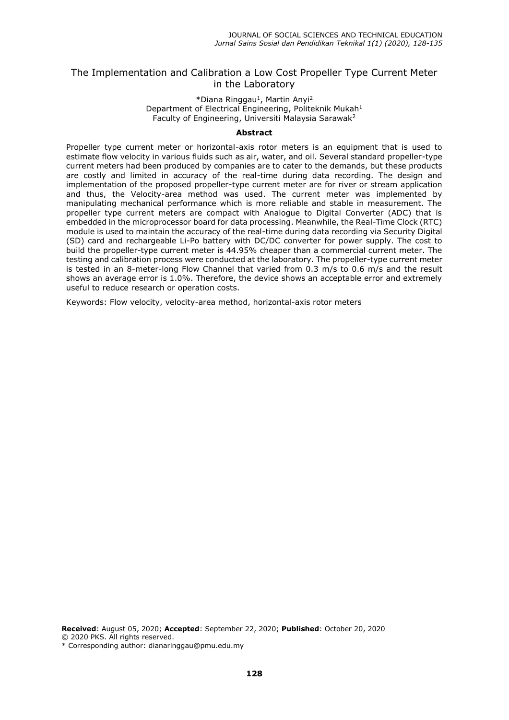## The Implementation and Calibration a Low Cost Propeller Type Current Meter in the Laboratory

#### \*Diana Ringgau<sup>1</sup>, Martin Anyi<sup>2</sup> Department of Electrical Engineering, Politeknik Mukah<sup>1</sup> Faculty of Engineering, Universiti Malaysia Sarawak<sup>2</sup>

#### **Abstract**

Propeller type current meter or horizontal-axis rotor meters is an equipment that is used to estimate flow velocity in various fluids such as air, water, and oil. Several standard propeller-type current meters had been produced by companies are to cater to the demands, but these products are costly and limited in accuracy of the real-time during data recording. The design and implementation of the proposed propeller-type current meter are for river or stream application and thus, the Velocity-area method was used. The current meter was implemented by manipulating mechanical performance which is more reliable and stable in measurement. The propeller type current meters are compact with Analogue to Digital Converter (ADC) that is embedded in the microprocessor board for data processing. Meanwhile, the Real-Time Clock (RTC) module is used to maintain the accuracy of the real-time during data recording via Security Digital (SD) card and rechargeable Li-Po battery with DC/DC converter for power supply. The cost to build the propeller-type current meter is 44.95% cheaper than a commercial current meter. The testing and calibration process were conducted at the laboratory. The propeller-type current meter is tested in an 8-meter-long Flow Channel that varied from 0.3 m/s to 0.6 m/s and the result shows an average error is 1.0%. Therefore, the device shows an acceptable error and extremely useful to reduce research or operation costs.

Keywords: Flow velocity, velocity-area method, horizontal-axis rotor meters

**Received**: August 05, 2020; **Accepted**: September 22, 2020; **Published**: October 20, 2020 © 2020 PKS. All rights reserved.

\* Corresponding author: dianaringgau@pmu.edu.my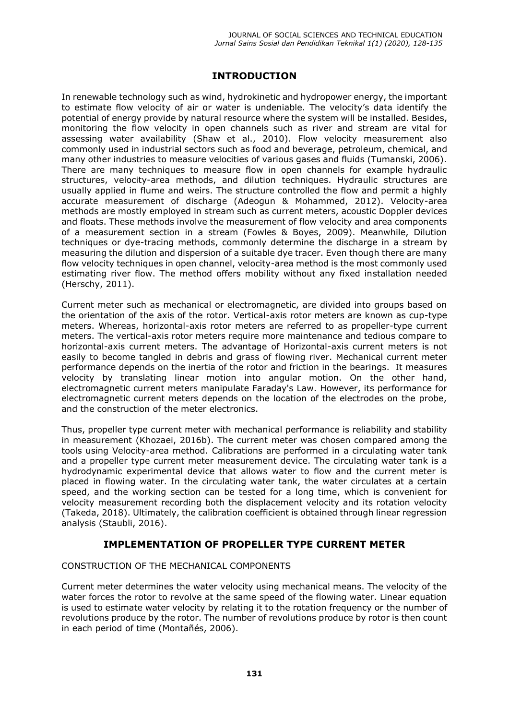# **INTRODUCTION**

In renewable technology such as wind, hydrokinetic and hydropower energy, the important to estimate flow velocity of air or water is undeniable. The velocity's data identify the potential of energy provide by natural resource where the system will be installed. Besides, monitoring the flow velocity in open channels such as river and stream are vital for assessing water availability (Shaw et al., 2010). Flow velocity measurement also commonly used in industrial sectors such as food and beverage, petroleum, chemical, and many other industries to measure velocities of various gases and fluids (Tumanski, 2006). There are many techniques to measure flow in open channels for example hydraulic structures, velocity-area methods, and dilution techniques. Hydraulic structures are usually applied in flume and weirs. The structure controlled the flow and permit a highly accurate measurement of discharge (Adeogun & Mohammed, 2012). Velocity-area methods are mostly employed in stream such as current meters, acoustic Doppler devices and floats. These methods involve the measurement of flow velocity and area components of a measurement section in a stream (Fowles & Boyes, 2009). Meanwhile, Dilution techniques or dye-tracing methods, commonly determine the discharge in a stream by measuring the dilution and dispersion of a suitable dye tracer. Even though there are many flow velocity techniques in open channel, velocity-area method is the most commonly used estimating river flow. The method offers mobility without any fixed installation needed (Herschy, 2011).

Current meter such as mechanical or electromagnetic, are divided into groups based on the orientation of the axis of the rotor. Vertical-axis rotor meters are known as cup-type meters. Whereas, horizontal-axis rotor meters are referred to as propeller-type current meters. The vertical-axis rotor meters require more maintenance and tedious compare to horizontal-axis current meters. The advantage of Horizontal-axis current meters is not easily to become tangled in debris and grass of flowing river. Mechanical current meter performance depends on the inertia of the rotor and friction in the bearings. It measures velocity by translating linear motion into angular motion. On the other hand, electromagnetic current meters manipulate Faraday's Law. However, its performance for electromagnetic current meters depends on the location of the electrodes on the probe, and the construction of the meter electronics.

Thus, propeller type current meter with mechanical performance is reliability and stability in measurement (Khozaei, 2016b). The current meter was chosen compared among the tools using Velocity-area method. Calibrations are performed in a circulating water tank and a propeller type current meter measurement device. The circulating water tank is a hydrodynamic experimental device that allows water to flow and the current meter is placed in flowing water. In the circulating water tank, the water circulates at a certain speed, and the working section can be tested for a long time, which is convenient for velocity measurement recording both the displacement velocity and its rotation velocity (Takeda, 2018). Ultimately, the calibration coefficient is obtained through linear regression analysis (Staubli, 2016).

# **IMPLEMENTATION OF PROPELLER TYPE CURRENT METER**

### CONSTRUCTION OF THE MECHANICAL COMPONENTS

Current meter determines the water velocity using mechanical means. The velocity of the water forces the rotor to revolve at the same speed of the flowing water. Linear equation is used to estimate water velocity by relating it to the rotation frequency or the number of revolutions produce by the rotor. The number of revolutions produce by rotor is then count in each period of time (Montañés, 2006).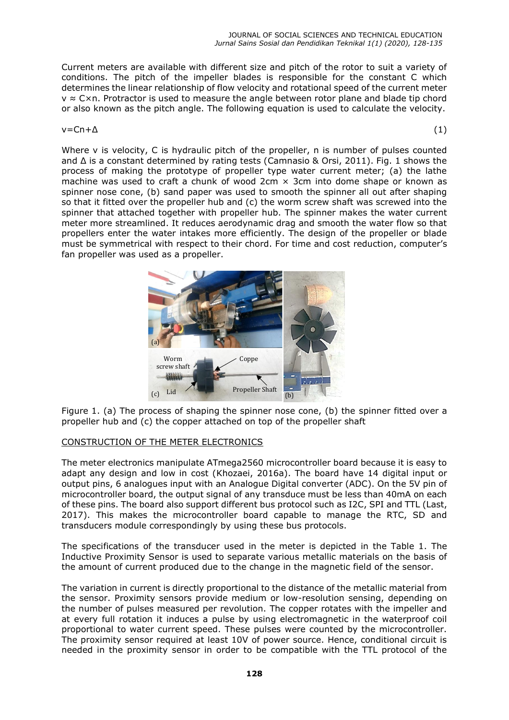Current meters are available with different size and pitch of the rotor to suit a variety of conditions. The pitch of the impeller blades is responsible for the constant C which determines the linear relationship of flow velocity and rotational speed of the current meter v ≈ C×n. Protractor is used to measure the angle between rotor plane and blade tip chord or also known as the pitch angle. The following equation is used to calculate the velocity.

### $v = Cn + \Delta$  (1)

Where v is velocity, C is hydraulic pitch of the propeller, n is number of pulses counted and Δ is a constant determined by rating tests (Camnasio & Orsi, 2011). Fig. 1 shows the process of making the prototype of propeller type water current meter; (a) the lathe machine was used to craft a chunk of wood  $2cm \times 3cm$  into dome shape or known as spinner nose cone, (b) sand paper was used to smooth the spinner all out after shaping so that it fitted over the propeller hub and (c) the worm screw shaft was screwed into the spinner that attached together with propeller hub. The spinner makes the water current meter more streamlined. It reduces aerodynamic drag and smooth the water flow so that propellers enter the water intakes more efficiently. The design of the propeller or blade must be symmetrical with respect to their chord. For time and cost reduction, computer's fan propeller was used as a propeller.



Figure 1. (a) The process of shaping the spinner nose cone, (b) the spinner fitted over a propeller hub and (c) the copper attached on top of the propeller shaft

### CONSTRUCTION OF THE METER ELECTRONICS

The meter electronics manipulate ATmega2560 microcontroller board because it is easy to adapt any design and low in cost (Khozaei, 2016a). The board have 14 digital input or output pins, 6 analogues input with an Analogue Digital converter (ADC). On the 5V pin of microcontroller board, the output signal of any transduce must be less than 40mA on each of these pins. The board also support different bus protocol such as I2C, SPI and TTL (Last, 2017). This makes the microcontroller board capable to manage the RTC, SD and transducers module correspondingly by using these bus protocols.

The specifications of the transducer used in the meter is depicted in the Table 1. The Inductive Proximity Sensor is used to separate various metallic materials on the basis of the amount of current produced due to the change in the magnetic field of the sensor.

The variation in current is directly proportional to the distance of the metallic material from the sensor. Proximity sensors provide medium or low-resolution sensing, depending on the number of pulses measured per revolution. The copper rotates with the impeller and at every full rotation it induces a pulse by using electromagnetic in the waterproof coil proportional to water current speed. These pulses were counted by the microcontroller. The proximity sensor required at least 10V of power source. Hence, conditional circuit is needed in the proximity sensor in order to be compatible with the TTL protocol of the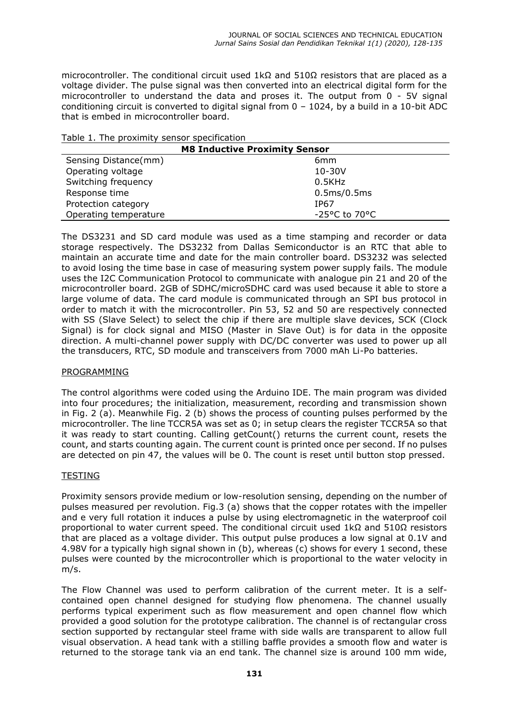microcontroller. The conditional circuit used  $1k\Omega$  and  $510\Omega$  resistors that are placed as a voltage divider. The pulse signal was then converted into an electrical digital form for the microcontroller to understand the data and proses it. The output from 0 - 5V signal conditioning circuit is converted to digital signal from 0 – 1024, by a build in a 10-bit ADC that is embed in microcontroller board.

|  |  |  | Table 1. The proximity sensor specification |  |
|--|--|--|---------------------------------------------|--|
|  |  |  |                                             |  |

| <b>M8 Inductive Proximity Sensor</b> |                                    |  |  |
|--------------------------------------|------------------------------------|--|--|
| Sensing Distance(mm)                 | 6 <sub>mm</sub>                    |  |  |
| Operating voltage                    | $10 - 30V$                         |  |  |
| Switching frequency                  | $0.5$ KHz                          |  |  |
| Response time                        | 0.5ms/0.5ms                        |  |  |
| Protection category                  | IP67                               |  |  |
| Operating temperature                | $-25^{\circ}$ C to 70 $^{\circ}$ C |  |  |

The DS3231 and SD card module was used as a time stamping and recorder or data storage respectively. The DS3232 from Dallas Semiconductor is an RTC that able to maintain an accurate time and date for the main controller board. DS3232 was selected to avoid losing the time base in case of measuring system power supply fails. The module uses the I2C Communication Protocol to communicate with analogue pin 21 and 20 of the microcontroller board. 2GB of SDHC/microSDHC card was used because it able to store a large volume of data. The card module is communicated through an SPI bus protocol in order to match it with the microcontroller. Pin 53, 52 and 50 are respectively connected with SS (Slave Select) to select the chip if there are multiple slave devices, SCK (Clock Signal) is for clock signal and MISO (Master in Slave Out) is for data in the opposite direction. A multi-channel power supply with DC/DC converter was used to power up all the transducers, RTC, SD module and transceivers from 7000 mAh Li-Po batteries.

### PROGRAMMING

The control algorithms were coded using the Arduino IDE. The main program was divided into four procedures; the initialization, measurement, recording and transmission shown in Fig. 2 (a). Meanwhile Fig. 2 (b) shows the process of counting pulses performed by the microcontroller. The line TCCR5A was set as 0; in setup clears the register TCCR5A so that it was ready to start counting. Calling getCount() returns the current count, resets the count, and starts counting again. The current count is printed once per second. If no pulses are detected on pin 47, the values will be 0. The count is reset until button stop pressed.

#### TESTING

Proximity sensors provide medium or low-resolution sensing, depending on the number of pulses measured per revolution. Fig.3 (a) shows that the copper rotates with the impeller and e very full rotation it induces a pulse by using electromagnetic in the waterproof coil proportional to water current speed. The conditional circuit used 1kΩ and 510Ω resistors that are placed as a voltage divider. This output pulse produces a low signal at 0.1V and 4.98V for a typically high signal shown in (b), whereas (c) shows for every 1 second, these pulses were counted by the microcontroller which is proportional to the water velocity in m/s.

The Flow Channel was used to perform calibration of the current meter. It is a selfcontained open channel designed for studying flow phenomena. The channel usually performs typical experiment such as flow measurement and open channel flow which provided a good solution for the prototype calibration. The channel is of rectangular cross section supported by rectangular steel frame with side walls are transparent to allow full visual observation. A head tank with a stilling baffle provides a smooth flow and water is returned to the storage tank via an end tank. The channel size is around 100 mm wide,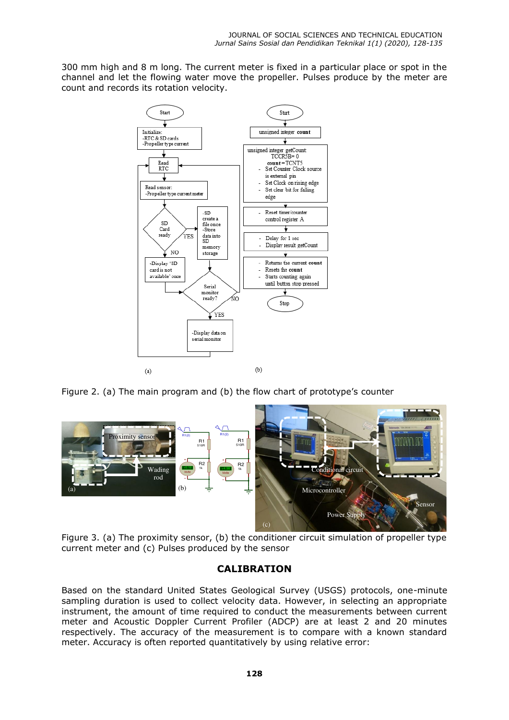300 mm high and 8 m long. The current meter is fixed in a particular place or spot in the channel and let the flowing water move the propeller. Pulses produce by the meter are count and records its rotation velocity.



Figure 2. (a) The main program and (b) the flow chart of prototype's counter



Figure 3. (a) The proximity sensor, (b) the conditioner circuit simulation of propeller type current meter and (c) Pulses produced by the sensor

# **CALIBRATION**

Based on the standard United States Geological Survey (USGS) protocols, one-minute sampling duration is used to collect velocity data. However, in selecting an appropriate instrument, the amount of time required to conduct the measurements between current meter and Acoustic Doppler Current Profiler (ADCP) are at least 2 and 20 minutes respectively. The accuracy of the measurement is to compare with a known standard meter. Accuracy is often reported quantitatively by using relative error: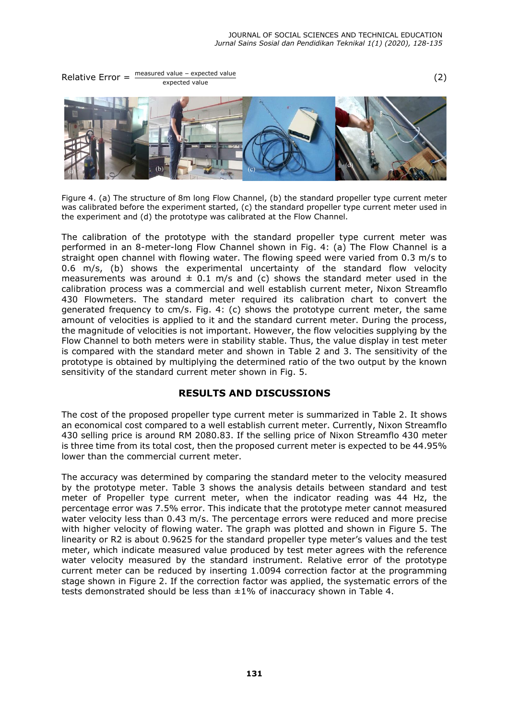Relative Error =  $\frac{\text{measured value} - \text{expected value}}{\text{expected value}}$  (2)



Figure 4. (a) The structure of 8m long Flow Channel, (b) the standard propeller type current meter was calibrated before the experiment started, (c) the standard propeller type current meter used in the experiment and (d) the prototype was calibrated at the Flow Channel.

The calibration of the prototype with the standard propeller type current meter was performed in an 8-meter-long Flow Channel shown in Fig. 4: (a) The Flow Channel is a straight open channel with flowing water. The flowing speed were varied from 0.3 m/s to 0.6 m/s, (b) shows the experimental uncertainty of the standard flow velocity measurements was around  $\pm$  0.1 m/s and (c) shows the standard meter used in the calibration process was a commercial and well establish current meter, Nixon Streamflo 430 Flowmeters. The standard meter required its calibration chart to convert the generated frequency to cm/s. Fig. 4: (c) shows the prototype current meter, the same amount of velocities is applied to it and the standard current meter. During the process, the magnitude of velocities is not important. However, the flow velocities supplying by the Flow Channel to both meters were in stability stable. Thus, the value display in test meter is compared with the standard meter and shown in Table 2 and 3. The sensitivity of the prototype is obtained by multiplying the determined ratio of the two output by the known sensitivity of the standard current meter shown in Fig. 5.

### **RESULTS AND DISCUSSIONS**

The cost of the proposed propeller type current meter is summarized in Table 2. It shows an economical cost compared to a well establish current meter. Currently, Nixon Streamflo 430 selling price is around RM 2080.83. If the selling price of Nixon Streamflo 430 meter is three time from its total cost, then the proposed current meter is expected to be 44.95% lower than the commercial current meter.

The accuracy was determined by comparing the standard meter to the velocity measured by the prototype meter. Table 3 shows the analysis details between standard and test meter of Propeller type current meter, when the indicator reading was 44 Hz, the percentage error was 7.5% error. This indicate that the prototype meter cannot measured water velocity less than 0.43 m/s. The percentage errors were reduced and more precise with higher velocity of flowing water. The graph was plotted and shown in Figure 5. The linearity or R2 is about 0.9625 for the standard propeller type meter's values and the test meter, which indicate measured value produced by test meter agrees with the reference water velocity measured by the standard instrument. Relative error of the prototype current meter can be reduced by inserting 1.0094 correction factor at the programming stage shown in Figure 2. If the correction factor was applied, the systematic errors of the tests demonstrated should be less than ±1% of inaccuracy shown in Table 4.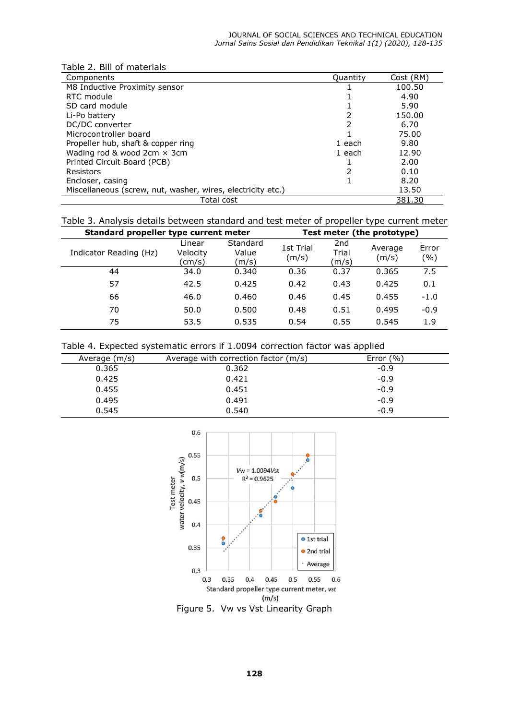| Table 2. Bill of materials                                  |          |           |  |  |
|-------------------------------------------------------------|----------|-----------|--|--|
| Components                                                  | Quantity | Cost (RM) |  |  |
| M8 Inductive Proximity sensor                               |          | 100.50    |  |  |
| RTC module                                                  |          | 4.90      |  |  |
| SD card module                                              |          | 5.90      |  |  |
| Li-Po battery                                               |          | 150.00    |  |  |
| DC/DC converter                                             | 2        | 6.70      |  |  |
| Microcontroller board                                       |          | 75.00     |  |  |
| Propeller hub, shaft & copper ring                          | 1 each   | 9.80      |  |  |
| Wading rod & wood $2cm \times 3cm$                          | 1 each   | 12.90     |  |  |
| Printed Circuit Board (PCB)                                 |          | 2.00      |  |  |
| Resistors                                                   | 2        | 0.10      |  |  |
| Encloser, casing                                            |          | 8.20      |  |  |
| Miscellaneous (screw, nut, washer, wires, electricity etc.) |          | 13.50     |  |  |
| Total cost                                                  |          | 381.30    |  |  |

# Table 3. Analysis details between standard and test meter of propeller type current meter

| Standard propeller type current meter |                              |                            | Test meter (the prototype) |                                   |                  |              |
|---------------------------------------|------------------------------|----------------------------|----------------------------|-----------------------------------|------------------|--------------|
| Indicator Reading (Hz)                | Linear<br>Velocity<br>(cm/s) | Standard<br>Value<br>(m/s) | 1st Trial<br>(m/s)         | 2 <sub>nd</sub><br>Trial<br>(m/s) | Average<br>(m/s) | Error<br>(%) |
| 44                                    | 34.0                         | 0.340                      | 0.36                       | 0.37                              | 0.365            | 7.5          |
| 57                                    | 42.5                         | 0.425                      | 0.42                       | 0.43                              | 0.425            | 0.1          |
| 66                                    | 46.0                         | 0.460                      | 0.46                       | 0.45                              | 0.455            | $-1.0$       |
| 70                                    | 50.0                         | 0.500                      | 0.48                       | 0.51                              | 0.495            | $-0.9$       |
| 75                                    | 53.5                         | 0.535                      | 0.54                       | 0.55                              | 0.545            | 1.9          |

#### Table 4. Expected systematic errors if 1.0094 correction factor was applied

| Average (m/s) | Average with correction factor (m/s) | Error $(\% )$ |
|---------------|--------------------------------------|---------------|
| 0.365         | 0.362                                | $-0.9$        |
| 0.425         | 0.421                                | $-0.9$        |
| 0.455         | 0.451                                | $-0.9$        |
| 0.495         | 0.491                                | $-0.9$        |
| 0.545         | 0.540                                | $-0.9$        |